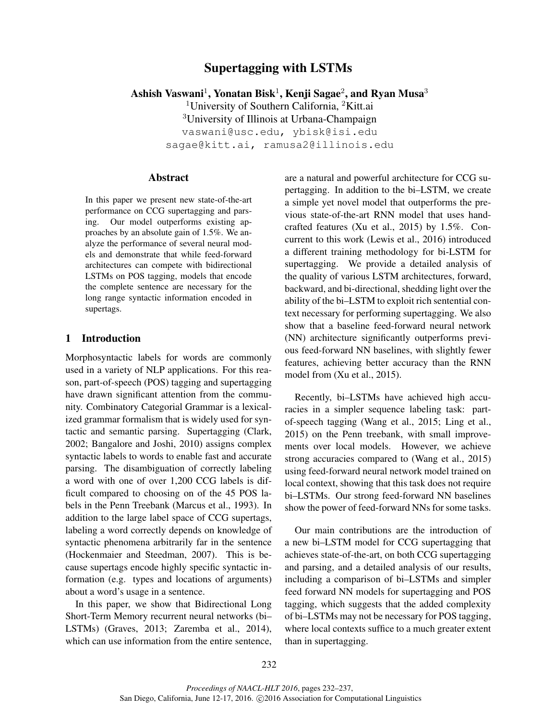# Supertagging with LSTMs

Ashish Vaswani $^1$ , Yonatan Bisk $^1$ , Kenji Sagae $^2$ , and Ryan Musa $^3$ 

<sup>1</sup>University of Southern California, <sup>2</sup>Kitt.ai <sup>3</sup>University of Illinois at Urbana-Champaign

vaswani@usc.edu, ybisk@isi.edu

sagae@kitt.ai, ramusa2@illinois.edu

### Abstract

In this paper we present new state-of-the-art performance on CCG supertagging and parsing. Our model outperforms existing approaches by an absolute gain of 1.5%. We analyze the performance of several neural models and demonstrate that while feed-forward architectures can compete with bidirectional LSTMs on POS tagging, models that encode the complete sentence are necessary for the long range syntactic information encoded in supertags.

## 1 Introduction

Morphosyntactic labels for words are commonly used in a variety of NLP applications. For this reason, part-of-speech (POS) tagging and supertagging have drawn significant attention from the community. Combinatory Categorial Grammar is a lexicalized grammar formalism that is widely used for syntactic and semantic parsing. Supertagging (Clark, 2002; Bangalore and Joshi, 2010) assigns complex syntactic labels to words to enable fast and accurate parsing. The disambiguation of correctly labeling a word with one of over 1,200 CCG labels is difficult compared to choosing on of the 45 POS labels in the Penn Treebank (Marcus et al., 1993). In addition to the large label space of CCG supertags, labeling a word correctly depends on knowledge of syntactic phenomena arbitrarily far in the sentence (Hockenmaier and Steedman, 2007). This is because supertags encode highly specific syntactic information (e.g. types and locations of arguments) about a word's usage in a sentence.

In this paper, we show that Bidirectional Long Short-Term Memory recurrent neural networks (bi– LSTMs) (Graves, 2013; Zaremba et al., 2014), which can use information from the entire sentence,

are a natural and powerful architecture for CCG supertagging. In addition to the bi–LSTM, we create a simple yet novel model that outperforms the previous state-of-the-art RNN model that uses handcrafted features (Xu et al., 2015) by 1.5%. Concurrent to this work (Lewis et al., 2016) introduced a different training methodology for bi-LSTM for supertagging. We provide a detailed analysis of the quality of various LSTM architectures, forward, backward, and bi-directional, shedding light over the ability of the bi–LSTM to exploit rich sentential context necessary for performing supertagging. We also show that a baseline feed-forward neural network (NN) architecture significantly outperforms previous feed-forward NN baselines, with slightly fewer features, achieving better accuracy than the RNN model from (Xu et al., 2015).

Recently, bi–LSTMs have achieved high accuracies in a simpler sequence labeling task: partof-speech tagging (Wang et al., 2015; Ling et al., 2015) on the Penn treebank, with small improvements over local models. However, we achieve strong accuracies compared to (Wang et al., 2015) using feed-forward neural network model trained on local context, showing that this task does not require bi–LSTMs. Our strong feed-forward NN baselines show the power of feed-forward NNs for some tasks.

Our main contributions are the introduction of a new bi–LSTM model for CCG supertagging that achieves state-of-the-art, on both CCG supertagging and parsing, and a detailed analysis of our results, including a comparison of bi–LSTMs and simpler feed forward NN models for supertagging and POS tagging, which suggests that the added complexity of bi–LSTMs may not be necessary for POS tagging, where local contexts suffice to a much greater extent than in supertagging.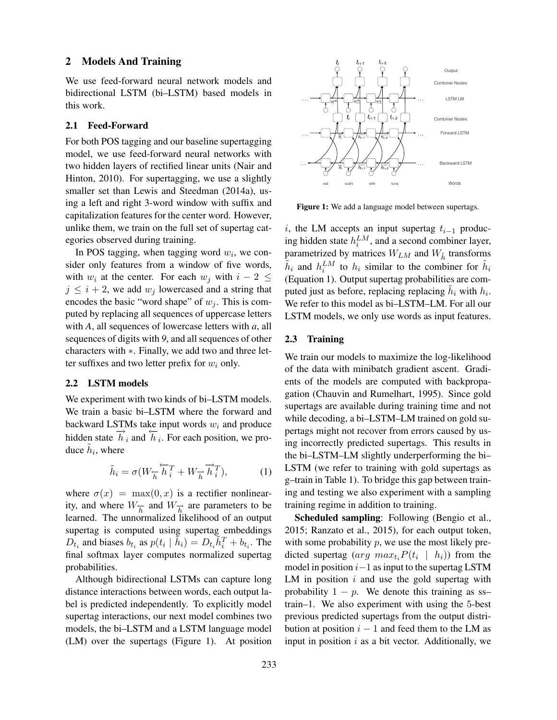### 2 Models And Training

We use feed-forward neural network models and bidirectional LSTM (bi–LSTM) based models in this work.

## 2.1 Feed-Forward

For both POS tagging and our baseline supertagging model, we use feed-forward neural networks with two hidden layers of rectified linear units (Nair and Hinton, 2010). For supertagging, we use a slightly smaller set than Lewis and Steedman (2014a), using a left and right 3-word window with suffix and capitalization features for the center word. However, unlike them, we train on the full set of supertag categories observed during training.

In POS tagging, when tagging word  $w_i$ , we consider only features from a window of five words, with  $w_i$  at the center. For each  $w_i$  with  $i - 2 \leq$  $j \leq i + 2$ , we add  $w_j$  lowercased and a string that encodes the basic "word shape" of  $w_i$ . This is computed by replacing all sequences of uppercase letters with *A*, all sequences of lowercase letters with *a*, all sequences of digits with *9*, and all sequences of other characters with ∗. Finally, we add two and three letter suffixes and two letter prefix for  $w_i$  only.

#### 2.2 LSTM models

We experiment with two kinds of bi–LSTM models. We train a basic bi–LSTM where the forward and backward LSTMs take input words  $w_i$  and produce hidden state  $\overrightarrow{h}_i$  and  $\overleftarrow{h}_i$ . For each position, we produce  $\tilde{h}_i$ , where

$$
\tilde{h}_i = \sigma(W_{\overleftarrow{h}} \overleftarrow{h}_i^T + W_{\overrightarrow{h}} \overrightarrow{h}_i^T), \tag{1}
$$

where  $\sigma(x) = \max(0, x)$  is a rectifier nonlinearity, and where  $W_{\overleftarrow{h}}$  and  $W_{\overrightarrow{h}}$  are parameters to be learned. The unnormalized likelihood of an output supertag is computed using supertag embeddings  $D_{t_i}$  and biases  $b_{t_i}$  as  $p(t_i | \tilde{h}_i) = D_{t_i} \tilde{h}_i^T + b_{t_i}$ . The final softmax layer computes normalized supertag probabilities.

Although bidirectional LSTMs can capture long distance interactions between words, each output label is predicted independently. To explicitly model supertag interactions, our next model combines two models, the bi–LSTM and a LSTM language model (LM) over the supertags (Figure 1). At position



Figure 1: We add a language model between supertags.

i, the LM accepts an input supertag  $t_{i-1}$  producing hidden state  $h_i^{LM}$ , and a second combiner layer, parametrized by matrices  $W_{LM}$  and  $W_{\tilde{h}}$  transforms  $\tilde{h}_i$  and  $h_i^{LM}$  to  $h_i$  similar to the combiner for  $\tilde{h}_i$ (Equation 1). Output supertag probabilities are computed just as before, replacing replacing  $\tilde{h}_i$  with  $h_i$ . We refer to this model as bi–LSTM–LM. For all our LSTM models, we only use words as input features.

## 2.3 Training

We train our models to maximize the log-likelihood of the data with minibatch gradient ascent. Gradients of the models are computed with backpropagation (Chauvin and Rumelhart, 1995). Since gold supertags are available during training time and not while decoding, a bi–LSTM–LM trained on gold supertags might not recover from errors caused by using incorrectly predicted supertags. This results in the bi–LSTM–LM slightly underperforming the bi– LSTM (we refer to training with gold supertags as g–train in Table 1). To bridge this gap between training and testing we also experiment with a sampling training regime in addition to training.

Scheduled sampling: Following (Bengio et al., 2015; Ranzato et al., 2015), for each output token, with some probability  $p$ , we use the most likely predicted supertag (arg  $max_{t_i} P(t_i \mid h_i)$ ) from the model in position  $i-1$  as input to the supertag LSTM LM in position  $i$  and use the gold supertag with probability  $1 - p$ . We denote this training as sstrain–1. We also experiment with using the 5-best previous predicted supertags from the output distribution at position  $i - 1$  and feed them to the LM as input in position  $i$  as a bit vector. Additionally, we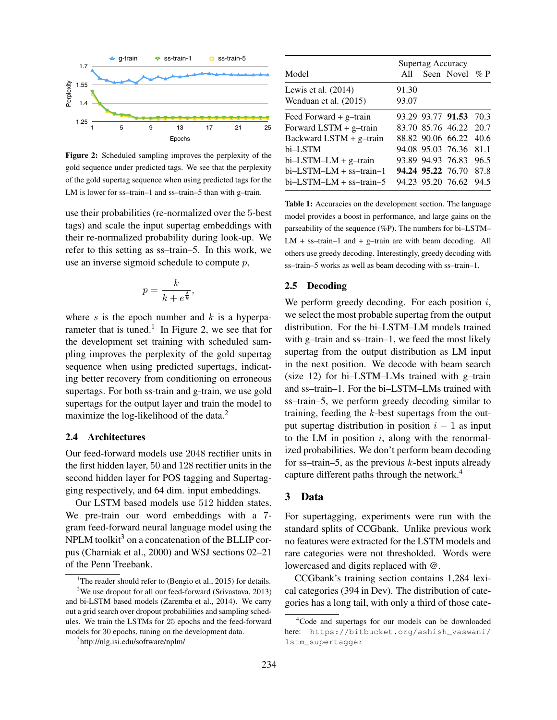

Figure 2: Scheduled sampling improves the perplexity of the gold sequence under predicted tags. We see that the perplexity of the gold supertag sequence when using predicted tags for the LM is lower for ss–train–1 and ss–train–5 than with g–train.

use their probabilities (re-normalized over the 5-best tags) and scale the input supertag embeddings with their re-normalized probability during look-up. We refer to this setting as ss–train–5. In this work, we use an inverse sigmoid schedule to compute  $p$ ,

$$
p = \frac{k}{k + e^{\frac{s}{k}}},
$$

where s is the epoch number and  $k$  is a hyperparameter that is tuned.<sup>1</sup> In Figure 2, we see that for the development set training with scheduled sampling improves the perplexity of the gold supertag sequence when using predicted supertags, indicating better recovery from conditioning on erroneous supertags. For both ss-train and g-train, we use gold supertags for the output layer and train the model to maximize the log-likelihood of the data.<sup>2</sup>

## 2.4 Architectures

Our feed-forward models use 2048 rectifier units in the first hidden layer, 50 and 128 rectifier units in the second hidden layer for POS tagging and Supertagging respectively, and 64 dim. input embeddings.

1 We pre-train our word embeddings with a 7- Our LSTM based models use 512 hidden states. gram feed-forward neural language model using the  $NPLM$  toolkit<sup>3</sup> on a concatenation of the BLLIP corpus (Charniak et al., 2000) and WSJ sections 02–21 of the Penn Treebank.

| A11 |                |                                                                                                                                                                                                  |
|-----|----------------|--------------------------------------------------------------------------------------------------------------------------------------------------------------------------------------------------|
|     |                |                                                                                                                                                                                                  |
|     |                |                                                                                                                                                                                                  |
|     |                |                                                                                                                                                                                                  |
|     |                |                                                                                                                                                                                                  |
|     |                |                                                                                                                                                                                                  |
|     |                | 40.6                                                                                                                                                                                             |
|     |                | 811                                                                                                                                                                                              |
|     |                | 96.5                                                                                                                                                                                             |
|     |                | 87.8                                                                                                                                                                                             |
|     |                | 94.5                                                                                                                                                                                             |
|     | 91.30<br>93.07 | Supertag Accuracy<br>Seen Novel % P<br>93.29 93.77 91.53 70.3<br>83.70 85.76 46.22 20.7<br>88.82 90.06 66.22<br>94.08 95.03 76.36<br>93.89 94.93 76.83<br>94.24 95.22 76.70<br>94.23 95.20 76.62 |

Table 1: Accuracies on the development section. The language model provides a boost in performance, and large gains on the parseability of the sequence (%P). The numbers for bi–LSTM–  $LM + ss-train-1$  and  $+ g-train$  are with beam decoding. All others use greedy decoding. Interestingly, greedy decoding with ss–train–5 works as well as beam decoding with ss–train–1.

## 2.5 Decoding

We perform greedy decoding. For each position  $i$ , we select the most probable supertag from the output distribution. For the bi–LSTM–LM models trained with g–train and ss–train–1, we feed the most likely supertag from the output distribution as LM input in the next position. We decode with beam search (size 12) for bi–LSTM–LMs trained with g–train and ss–train–1. For the bi–LSTM–LMs trained with ss–train–5, we perform greedy decoding similar to training, feeding the k-best supertags from the output supertag distribution in position  $i - 1$  as input to the LM in position  $i$ , along with the renormalized probabilities. We don't perform beam decoding for ss-train–5, as the previous  $k$ -best inputs already capture different paths through the network.<sup>4</sup>

## 3 Data

For supertagging, experiments were run with the standard splits of CCGbank. Unlike previous work no features were extracted for the LSTM models and rare categories were not thresholded. Words were lowercased and digits replaced with @.

CCGbank's training section contains 1,284 lexical categories (394 in Dev). The distribution of categories has a long tail, with only a third of those cate-

<sup>&</sup>lt;sup>1</sup>The reader should refer to (Bengio et al., 2015) for details. <sup>2</sup>We use dropout for all our feed-forward (Srivastava, 2013) and bi-LSTM based models (Zaremba et al., 2014). We carry out a grid search over dropout probabilities and sampling schedules. We train the LSTMs for 25 epochs and the feed-forward models for 30 epochs, tuning on the development data.

<sup>3</sup> http://nlg.isi.edu/software/nplm/

<sup>4</sup>Code and supertags for our models can be downloaded here: https://bitbucket.org/ashish\_vaswani/ lstm\_supertagger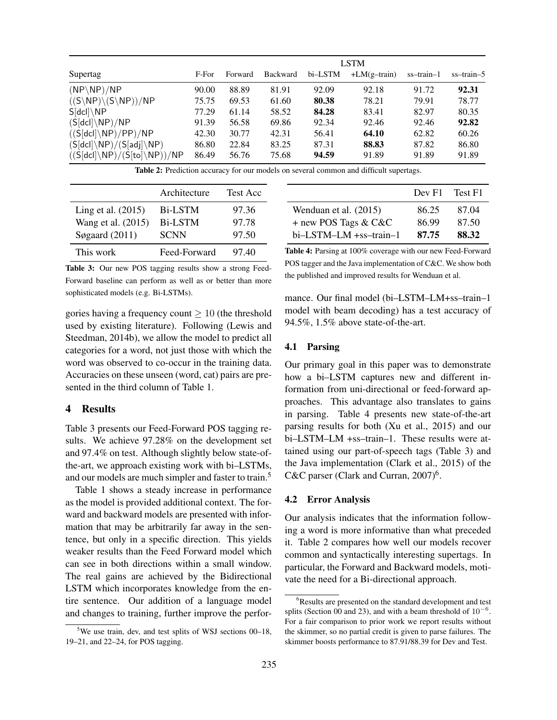|                                                    |       |         |                 |         | <b>LSTM</b>    |            |            |
|----------------------------------------------------|-------|---------|-----------------|---------|----------------|------------|------------|
| Supertag                                           | F-For | Forward | <b>Backward</b> | bi-LSTM | $+LM(g-train)$ | ss-train-1 | ss-train-5 |
| $(NP\backslash NP)/NP$                             | 90.00 | 88.89   | 81.91           | 92.09   | 92.18          | 91.72      | 92.31      |
| $((S\backslash NP)\backslash (S\backslash NP))/NP$ | 75.75 | 69.53   | 61.60           | 80.38   | 78.21          | 79.91      | 78.77      |
| $S[dc] \setminus NP$                               | 77.29 | 61.14   | 58.52           | 84.28   | 83.41          | 82.97      | 80.35      |
| $(S[dcl]\setminus NP)/NP$                          | 91.39 | 56.58   | 69.86           | 92.34   | 92.46          | 92.46      | 92.82      |
| $((S[dc])\NP)/PP)/NP$                              | 42.30 | 30.77   | 42.31           | 56.41   | 64.10          | 62.82      | 60.26      |
| $(S[dcl]\backslash NP)/(S[adj]\backslash NP)$      | 86.80 | 22.84   | 83.25           | 87.31   | 88.83          | 87.82      | 86.80      |
| $((S[dc]\Bra{NP})/(S[to]\Bra{NP})/NP$              | 86.49 | 56.76   | 75.68           | 94.59   | 91.89          | 91.89      | 91.89      |

Table 2: Prediction accuracy for our models on several common and difficult supertags.

|                      | Architecture   | <b>Test Acc</b> |
|----------------------|----------------|-----------------|
| Ling et al. $(2015)$ | <b>Bi-LSTM</b> | 97.36           |
| Wang et al. (2015)   | <b>Bi-LSTM</b> | 97.78           |
| Søgaard $(2011)$     | <b>SCNN</b>    | 97.50           |
| This work            | Feed-Forward   | 97.40           |

Wenduan et al. (2015) 86.25 87.04 + new POS Tags & C&C 86.99 87.50 bi–LSTM–LM +ss–train–1 87.75 88.32 Table 4: Parsing at 100% coverage with our new Feed-Forward POS tagger and the Java implementation of C&C. We show both

Dev F1 Test F1

Table 3: Our new POS tagging results show a strong Feed-Forward baseline can perform as well as or better than more sophisticated models (e.g. Bi-LSTMs).

gories having a frequency count  $\geq 10$  (the threshold used by existing literature). Following (Lewis and Steedman, 2014b), we allow the model to predict all categories for a word, not just those with which the word was observed to co-occur in the training data. Accuracies on these unseen (word, cat) pairs are presented in the third column of Table 1.

## 4 Results

Table 3 presents our Feed-Forward POS tagging results. We achieve 97.28% on the development set and 97.4% on test. Although slightly below state-ofthe-art, we approach existing work with bi–LSTMs, and our models are much simpler and faster to train.<sup>5</sup>

Table 1 shows a steady increase in performance as the model is provided additional context. The forward and backward models are presented with information that may be arbitrarily far away in the sentence, but only in a specific direction. This yields weaker results than the Feed Forward model which can see in both directions within a small window. The real gains are achieved by the Bidirectional LSTM which incorporates knowledge from the entire sentence. Our addition of a language model and changes to training, further improve the perfor-

 $5$ We use train, dev, and test splits of WSJ sections 00–18, 19–21, and 22–24, for POS tagging.

mance. Our final model (bi–LSTM–LM+ss–train–1 model with beam decoding) has a test accuracy of 94.5%, 1.5% above state-of-the-art.

the published and improved results for Wenduan et al.

#### 4.1 Parsing

Our primary goal in this paper was to demonstrate how a bi–LSTM captures new and different information from uni-directional or feed-forward approaches. This advantage also translates to gains in parsing. Table 4 presents new state-of-the-art parsing results for both (Xu et al., 2015) and our bi–LSTM–LM +ss–train–1. These results were attained using our part-of-speech tags (Table 3) and the Java implementation (Clark et al., 2015) of the C&C parser (Clark and Curran,  $2007)^6$ .

## 4.2 Error Analysis

Our analysis indicates that the information following a word is more informative than what preceded it. Table 2 compares how well our models recover common and syntactically interesting supertags. In particular, the Forward and Backward models, motivate the need for a Bi-directional approach.

<sup>&</sup>lt;sup>6</sup>Results are presented on the standard development and test splits (Section 00 and 23), and with a beam threshold of  $10^{-6}$ . For a fair comparison to prior work we report results without the skimmer, so no partial credit is given to parse failures. The skimmer boosts performance to 87.91/88.39 for Dev and Test.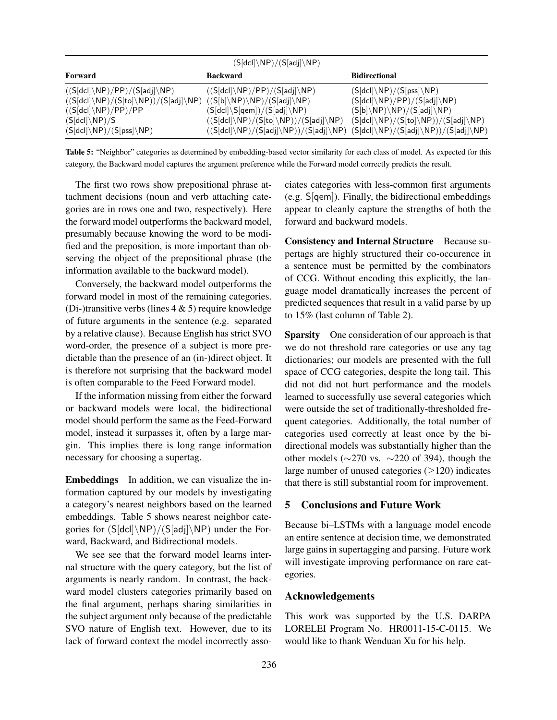| $(S[dcl]\backslash \textsf{NP})/(S[adj]\backslash \textsf{NP})$                                                                 |                                                                                                   |                                                                       |  |  |  |
|---------------------------------------------------------------------------------------------------------------------------------|---------------------------------------------------------------------------------------------------|-----------------------------------------------------------------------|--|--|--|
| Forward                                                                                                                         | <b>Backward</b>                                                                                   | <b>Bidirectional</b>                                                  |  |  |  |
| $((S[dcl]\backslash NP)/PP)/(S[adj]\backslash NP)$                                                                              | $((S[dc])\NP)/PP)/(S[adj]\NP)$                                                                    | $(S[del]\setminus NP)/(S[pss]\setminus NP)$                           |  |  |  |
| $((S[dcl]\backslash NP)/(S[to]\backslash NP))/(S[adj]\backslash NP)$ $((S[b]\backslash NP)\backslash NP)/(S[adj]\backslash NP)$ |                                                                                                   | $(S[dcl]\setminus NP)/PP)/(S[adj]\setminus NP)$                       |  |  |  |
| $((S[dc])\NP)/PP)/PP$                                                                                                           | $(S[dc]]\S[qem])/(S[adj]\Bbb NP)$                                                                 | $(S[b]\D\VP)\D\VP) / (S[adj]\D\VP)$                                   |  |  |  |
| $(S[dcl]\setminus NP)/S$                                                                                                        | $((S[dcl]\setminus\mathsf{NP})/(S[to]\setminus\mathsf{NP}))/ (S[adj]\setminus\mathsf{NP})$        | $(S[dc] \backslash NP)/(S[to] \backslash NP))/(S[adj] \backslash NP)$ |  |  |  |
| $(S[dc]/NP)/(S[pss]\NP)$                                                                                                        | $((S[dcl]\backslash \textsf{NP})/(S[adj]\backslash \textsf{NP}))/ (S[adj]\backslash \textsf{NP})$ | $(S[dcl]\backslash NP)/(S[adj]\backslash NP))/(S[adj]\backslash NP)$  |  |  |  |

Table 5: "Neighbor" categories as determined by embedding-based vector similarity for each class of model. As expected for this category, the Backward model captures the argument preference while the Forward model correctly predicts the result.

The first two rows show prepositional phrase attachment decisions (noun and verb attaching categories are in rows one and two, respectively). Here the forward model outperforms the backward model, presumably because knowing the word to be modified and the preposition, is more important than observing the object of the prepositional phrase (the information available to the backward model).

Conversely, the backward model outperforms the forward model in most of the remaining categories. (Di-)transitive verbs (lines  $4 \& 5$ ) require knowledge of future arguments in the sentence (e.g. separated by a relative clause). Because English has strict SVO word-order, the presence of a subject is more predictable than the presence of an (in-)direct object. It is therefore not surprising that the backward model is often comparable to the Feed Forward model.

If the information missing from either the forward or backward models were local, the bidirectional model should perform the same as the Feed-Forward model, instead it surpasses it, often by a large margin. This implies there is long range information necessary for choosing a supertag.

Embeddings In addition, we can visualize the information captured by our models by investigating a category's nearest neighbors based on the learned embeddings. Table 5 shows nearest neighbor categories for  $(S[dcl]\n\NP)/(S[adj]\nNP)$  under the Forward, Backward, and Bidirectional models.

We see see that the forward model learns internal structure with the query category, but the list of arguments is nearly random. In contrast, the backward model clusters categories primarily based on the final argument, perhaps sharing similarities in the subject argument only because of the predictable SVO nature of English text. However, due to its lack of forward context the model incorrectly associates categories with less-common first arguments (e.g. S[qem]). Finally, the bidirectional embeddings appear to cleanly capture the strengths of both the forward and backward models.

Consistency and Internal Structure Because supertags are highly structured their co-occurence in a sentence must be permitted by the combinators of CCG. Without encoding this explicitly, the language model dramatically increases the percent of predicted sequences that result in a valid parse by up to 15% (last column of Table 2).

Sparsity One consideration of our approach is that we do not threshold rare categories or use any tag dictionaries; our models are presented with the full space of CCG categories, despite the long tail. This did not did not hurt performance and the models learned to successfully use several categories which were outside the set of traditionally-thresholded frequent categories. Additionally, the total number of categories used correctly at least once by the bidirectional models was substantially higher than the other models (∼270 vs. ∼220 of 394), though the large number of unused categories (≥120) indicates that there is still substantial room for improvement.

# 5 Conclusions and Future Work

Because bi–LSTMs with a language model encode an entire sentence at decision time, we demonstrated large gains in supertagging and parsing. Future work will investigate improving performance on rare categories.

## Acknowledgements

This work was supported by the U.S. DARPA LORELEI Program No. HR0011-15-C-0115. We would like to thank Wenduan Xu for his help.